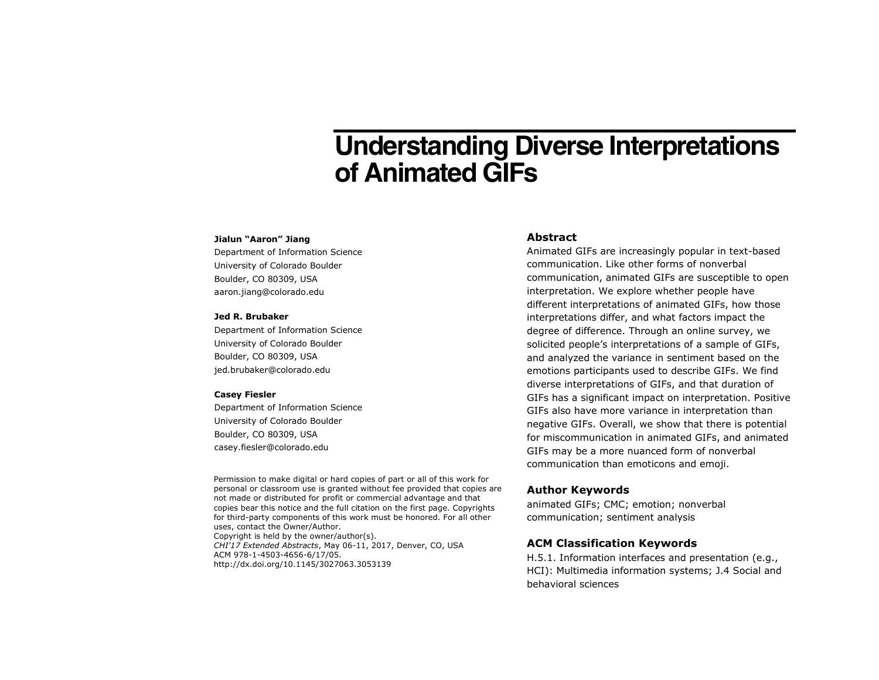# **Understanding Diverse Interpretations of Animated GIFs**

#### **Jialun "Aaron" Jiang**

Department of Information Science University of Colorado Boulder Boulder, CO 80309, USA aaron.jiang@colorado.edu

#### **Jed R. Brubaker**

Department of Information Science University of Colorado Boulder Boulder, CO 80309, USA jed.brubaker@colorado.edu

#### **Casey Fiesler**

Department of Information Science University of Colorado Boulder Boulder, CO 80309, USA casey.fiesler@colorado.edu

Permission to make digital or hard copies of part or all of this work for personal or classroom use is granted without fee provided that copies are not made or distributed for profit or commercial advantage and that copies bear this notice and the full citation on the first page. Copyrights for third-party components of this work must be honored. For all other uses, contact the Owner/Author. Copyright is held by the owner/author(s). *CHI'17 Extended Abstracts*, May 06-11, 2017, Denver, CO, USA ACM 978-1-4503-4656-6/17/05. http://dx.doi.org/10.1145/3027063.3053139

## **Abstract**

Animated GIFs are increasingly popular in text-based communication. Like other forms of nonverbal communication, animated GIFs are susceptible to open interpretation. We explore whether people have different interpretations of animated GIFs, how those interpretations differ, and what factors impact the degree of difference. Through an online survey, we solicited people's interpretations of a sample of GIFs, and analyzed the variance in sentiment based on the emotions participants used to describe GIFs. We find diverse interpretations of GIFs, and that duration of GIFs has a significant impact on interpretation. Positive GIFs also have more variance in interpretation than negative GIFs. Overall, we show that there is potential for miscommunication in animated GIFs, and animated GIFs may be a more nuanced form of nonverbal communication than emoticons and emoji.

### **Author Keywords**

animated GIFs; CMC; emotion; nonverbal communication; sentiment analysis

### **ACM Classification Keywords**

H.5.1. Information interfaces and presentation (e.g., HCI): Multimedia information systems; J.4 Social and behavioral sciences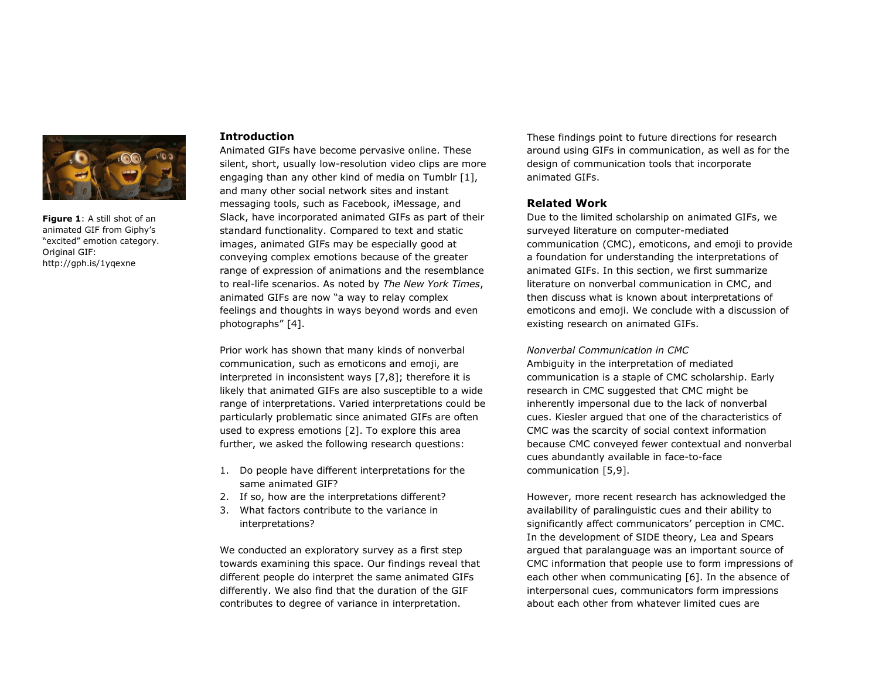

**Figure 1**: A still shot of an animated GIF from Giphy's "excited" emotion category. Original GIF: http://gph.is/1yqexne

## **Introduction**

Animated GIFs have become pervasive online. These silent, short, usually low-resolution video clips are more engaging than any other kind of media on Tumblr [1], and many other social network sites and instant messaging tools, such as Facebook, iMessage, and Slack, have incorporated animated GIFs as part of their standard functionality. Compared to text and static images, animated GIFs may be especially good at conveying complex emotions because of the greater range of expression of animations and the resemblance to real-life scenarios. As noted by *The New York Times*, animated GIFs are now "a way to relay complex feelings and thoughts in ways beyond words and even photographs" [4].

Prior work has shown that many kinds of nonverbal communication, such as emoticons and emoji, are interpreted in inconsistent ways [7,8]; therefore it is likely that animated GIFs are also susceptible to a wide range of interpretations. Varied interpretations could be particularly problematic since animated GIFs are often used to express emotions [2]. To explore this area further, we asked the following research questions:

- 1. Do people have different interpretations for the same animated GIF?
- 2. If so, how are the interpretations different?
- 3. What factors contribute to the variance in interpretations?

We conducted an exploratory survey as a first step towards examining this space. Our findings reveal that different people do interpret the same animated GIFs differently. We also find that the duration of the GIF contributes to degree of variance in interpretation.

These findings point to future directions for research around using GIFs in communication, as well as for the design of communication tools that incorporate animated GIFs.

# **Related Work**

Due to the limited scholarship on animated GIFs, we surveyed literature on computer-mediated communication (CMC), emoticons, and emoji to provide a foundation for understanding the interpretations of animated GIFs. In this section, we first summarize literature on nonverbal communication in CMC, and then discuss what is known about interpretations of emoticons and emoji. We conclude with a discussion of existing research on animated GIFs.

*Nonverbal Communication in CMC*

Ambiguity in the interpretation of mediated communication is a staple of CMC scholarship. Early research in CMC suggested that CMC might be inherently impersonal due to the lack of nonverbal cues. Kiesler argued that one of the characteristics of CMC was the scarcity of social context information because CMC conveyed fewer contextual and nonverbal cues abundantly available in face-to-face communication [5,9].

However, more recent research has acknowledged the availability of paralinguistic cues and their ability to significantly affect communicators' perception in CMC. In the development of SIDE theory, Lea and Spears argued that paralanguage was an important source of CMC information that people use to form impressions of each other when communicating [6]. In the absence of interpersonal cues, communicators form impressions about each other from whatever limited cues are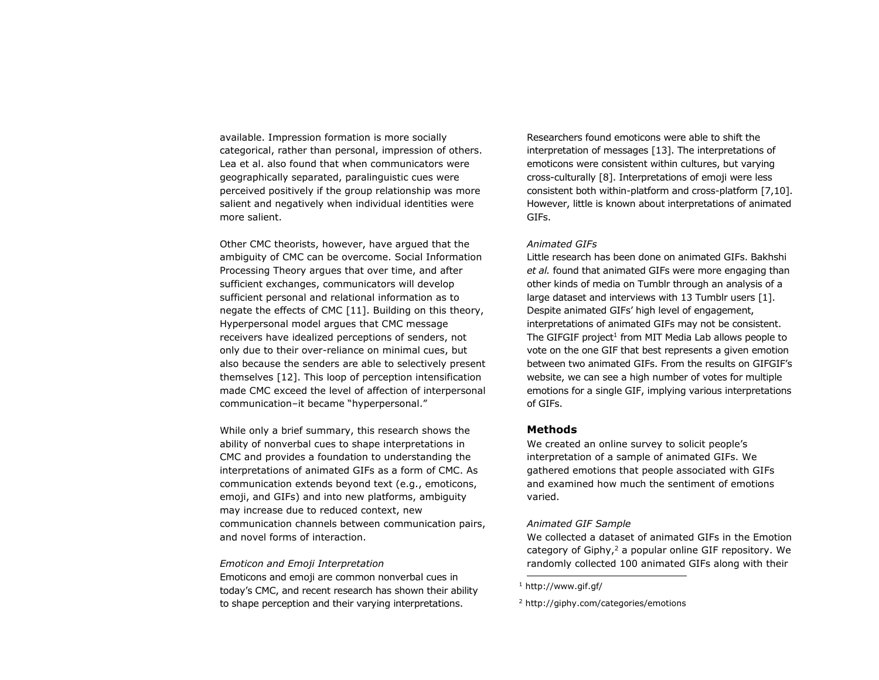available. Impression formation is more socially categorical, rather than personal, impression of others. Lea et al. also found that when communicators were geographically separated, paralinguistic cues were perceived positively if the group relationship was more salient and negatively when individual identities were more salient.

Other CMC theorists, however, have argued that the ambiguity of CMC can be overcome. Social Information Processing Theory argues that over time, and after sufficient exchanges, communicators will develop sufficient personal and relational information as to negate the effects of CMC [11]. Building on this theory, Hyperpersonal model argues that CMC message receivers have idealized perceptions of senders, not only due to their over-reliance on minimal cues, but also because the senders are able to selectively present themselves [12]. This loop of perception intensification made CMC exceed the level of affection of interpersonal communication–it became "hyperpersonal."

While only a brief summary, this research shows the ability of nonverbal cues to shape interpretations in CMC and provides a foundation to understanding the interpretations of animated GIFs as a form of CMC. As communication extends beyond text (e.g., emoticons, emoji, and GIFs) and into new platforms, ambiguity may increase due to reduced context, new communication channels between communication pairs, and novel forms of interaction.

#### *Emoticon and Emoji Interpretation*

Emoticons and emoji are common nonverbal cues in today's CMC, and recent research has shown their ability to shape perception and their varying interpretations.

Researchers found emoticons were able to shift the interpretation of messages [13]. The interpretations of emoticons were consistent within cultures, but varying cross-culturally [8]. Interpretations of emoji were less consistent both within-platform and cross-platform [7,10]. However, little is known about interpretations of animated GIFs.

## *Animated GIFs*

Little research has been done on animated GIFs. Bakhshi *et al.* found that animated GIFs were more engaging than other kinds of media on Tumblr through an analysis of a large dataset and interviews with 13 Tumblr users [1]. Despite animated GIFs' high level of engagement, interpretations of animated GIFs may not be consistent. The GIFGIF project<sup>1</sup> from MIT Media Lab allows people to vote on the one GIF that best represents a given emotion between two animated GIFs. From the results on GIFGIF's website, we can see a high number of votes for multiple emotions for a single GIF, implying various interpretations of GIFs.

## **Methods**

We created an online survey to solicit people's interpretation of a sample of animated GIFs. We gathered emotions that people associated with GIFs and examined how much the sentiment of emotions varied.

#### *Animated GIF Sample*

We collected a dataset of animated GIFs in the Emotion category of Giphy, <sup>2</sup> a popular online GIF repository. We randomly collected 100 animated GIFs along with their

ł

<sup>1</sup> http://www.gif.gf/

<sup>2</sup> http://giphy.com/categories/emotions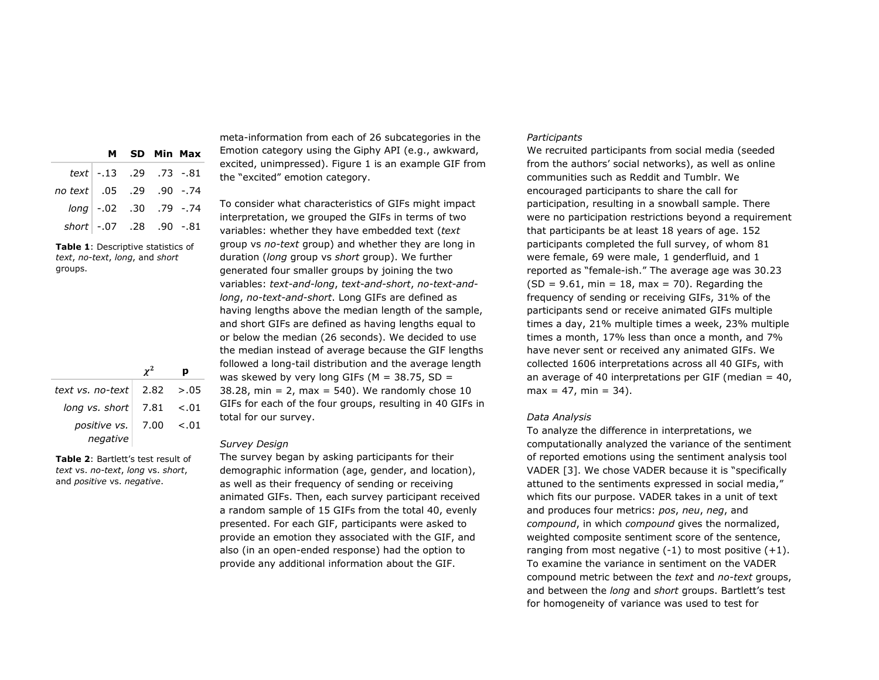|                            | м                            | SD Min Max |  |
|----------------------------|------------------------------|------------|--|
|                            | text $-0.13$ .29 .73 $-0.81$ |            |  |
| no text   .05 .29 .90 -.74 |                              |            |  |
|                            | $long$ -.02 .30 .79 -.74     |            |  |
|                            | short $-07$ .28 .90 $-81$    |            |  |

**Table 1**: Descriptive statistics of *text*, *no-text*, *long*, and *short* groups.

|                          | $\chi^2$ | p      |
|--------------------------|----------|--------|
| text vs. no-text         | 2.82     | > 0.05 |
| long vs. short           | 7.81     | $-.01$ |
| positive vs.<br>negative | 7.00     | $-.01$ |

**Table 2**: Bartlett's test result of *text* vs. *no-text*, *long* vs. *short*, and *positive* vs. *negative*.

meta-information from each of 26 subcategories in the Emotion category using the Giphy API (e.g., awkward, excited, unimpressed). Figure 1 is an example GIF from the "excited" emotion category.

To consider what characteristics of GIFs might impact interpretation, we grouped the GIFs in terms of two variables: whether they have embedded text (*text* group vs *no-text* group) and whether they are long in duration (*long* group vs *short* group). We further generated four smaller groups by joining the two variables: *text-and-long*, *text-and-short*, *no-text-andlong*, *no-text-and-short*. Long GIFs are defined as having lengths above the median length of the sample, and short GIFs are defined as having lengths equal to or below the median (26 seconds). We decided to use the median instead of average because the GIF lengths followed a long-tail distribution and the average length was skewed by very long GIFs ( $M = 38.75$ , SD = 38.28, min = 2, max =  $540$ ). We randomly chose 10 GIFs for each of the four groups, resulting in 40 GIFs in total for our survey.

#### *Survey Design*

The survey began by asking participants for their demographic information (age, gender, and location), as well as their frequency of sending or receiving animated GIFs. Then, each survey participant received a random sample of 15 GIFs from the total 40, evenly presented. For each GIF, participants were asked to provide an emotion they associated with the GIF, and also (in an open-ended response) had the option to provide any additional information about the GIF.

#### *Participants*

We recruited participants from social media (seeded from the authors' social networks), as well as online communities such as Reddit and Tumblr. We encouraged participants to share the call for participation, resulting in a snowball sample. There were no participation restrictions beyond a requirement that participants be at least 18 years of age. 152 participants completed the full survey, of whom 81 were female, 69 were male, 1 genderfluid, and 1 reported as "female-ish." The average age was 30.23  $(SD = 9.61$ , min = 18, max = 70). Regarding the frequency of sending or receiving GIFs, 31% of the participants send or receive animated GIFs multiple times a day, 21% multiple times a week, 23% multiple times a month, 17% less than once a month, and 7% have never sent or received any animated GIFs. We collected 1606 interpretations across all 40 GIFs, with an average of 40 interpretations per GIF (median  $= 40$ ,  $max = 47$ ,  $min = 34$ ).

#### *Data Analysis*

To analyze the difference in interpretations, we computationally analyzed the variance of the sentiment of reported emotions using the sentiment analysis tool VADER [3]. We chose VADER because it is "specifically attuned to the sentiments expressed in social media," which fits our purpose. VADER takes in a unit of text and produces four metrics: *pos*, *neu*, *neg*, and *compound*, in which *compound* gives the normalized, weighted composite sentiment score of the sentence, ranging from most negative  $(-1)$  to most positive  $(+1)$ . To examine the variance in sentiment on the VADER compound metric between the *text* and *no-text* groups, and between the *long* and *short* groups. Bartlett's test for homogeneity of variance was used to test for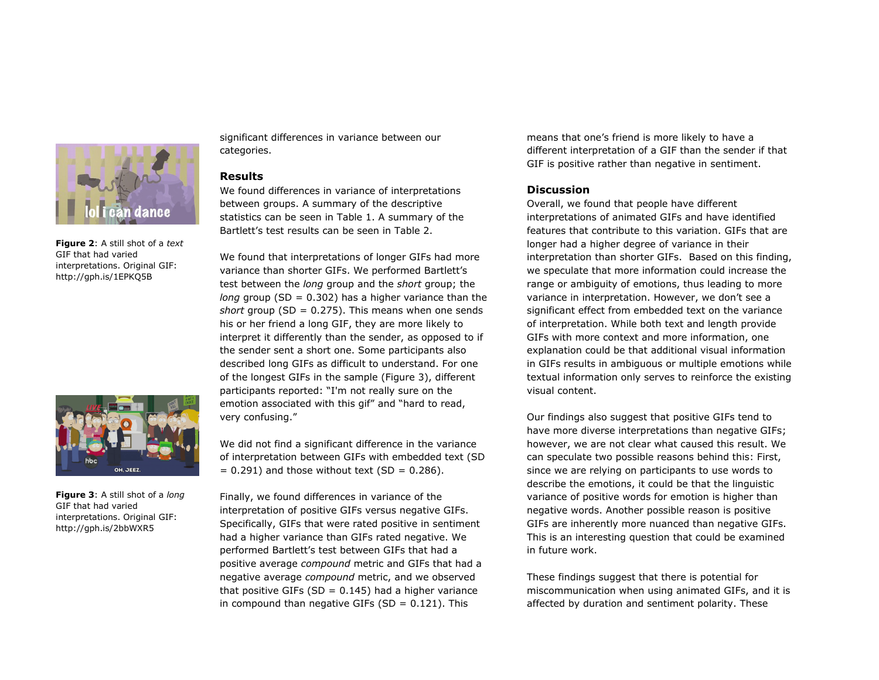

**Figure 2**: A still shot of a *text* GIF that had varied interpretations. Original GIF: http://gph.is/1EPKQ5B



**Figure 3**: A still shot of a *long* GIF that had varied interpretations. Original GIF: http://gph.is/2bbWXR5

significant differences in variance between our categories.

## **Results**

We found differences in variance of interpretations between groups. A summary of the descriptive statistics can be seen in Table 1. A summary of the Bartlett's test results can be seen in Table 2.

We found that interpretations of longer GIFs had more variance than shorter GIFs. We performed Bartlett's test between the *long* group and the *short* group; the *long* group (SD = 0.302) has a higher variance than the *short* group (SD =  $0.275$ ). This means when one sends his or her friend a long GIF, they are more likely to interpret it differently than the sender, as opposed to if the sender sent a short one. Some participants also described long GIFs as difficult to understand. For one of the longest GIFs in the sample (Figure 3), different participants reported: "I'm not really sure on the emotion associated with this gif" and "hard to read, very confusing."

We did not find a significant difference in the variance of interpretation between GIFs with embedded text (SD  $= 0.291$ ) and those without text (SD  $= 0.286$ ).

Finally, we found differences in variance of the interpretation of positive GIFs versus negative GIFs. Specifically, GIFs that were rated positive in sentiment had a higher variance than GIFs rated negative. We performed Bartlett's test between GIFs that had a positive average *compound* metric and GIFs that had a negative average *compound* metric, and we observed that positive GIFs (SD =  $0.145$ ) had a higher variance in compound than negative GIFs  $(SD = 0.121)$ . This

means that one's friend is more likely to have a different interpretation of a GIF than the sender if that GIF is positive rather than negative in sentiment.

## **Discussion**

Overall, we found that people have different interpretations of animated GIFs and have identified features that contribute to this variation. GIFs that are longer had a higher degree of variance in their interpretation than shorter GIFs. Based on this finding, we speculate that more information could increase the range or ambiguity of emotions, thus leading to more variance in interpretation. However, we don't see a significant effect from embedded text on the variance of interpretation. While both text and length provide GIFs with more context and more information, one explanation could be that additional visual information in GIFs results in ambiguous or multiple emotions while textual information only serves to reinforce the existing visual content.

Our findings also suggest that positive GIFs tend to have more diverse interpretations than negative GIFs; however, we are not clear what caused this result. We can speculate two possible reasons behind this: First, since we are relying on participants to use words to describe the emotions, it could be that the linguistic variance of positive words for emotion is higher than negative words. Another possible reason is positive GIFs are inherently more nuanced than negative GIFs. This is an interesting question that could be examined in future work.

These findings suggest that there is potential for miscommunication when using animated GIFs, and it is affected by duration and sentiment polarity. These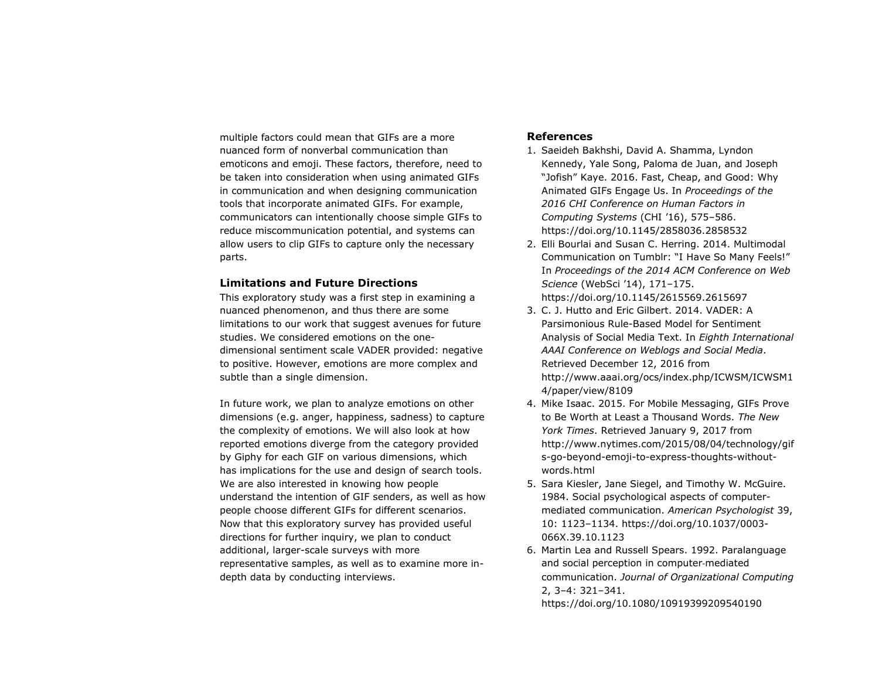multiple factors could mean that GIFs are a more nuanced form of nonverbal communication than emoticons and emoji. These factors, therefore, need to be taken into consideration when using animated GIFs in communication and when designing communication tools that incorporate animated GIFs. For example, communicators can intentionally choose simple GIFs to reduce miscommunication potential, and systems can allow users to clip GIFs to capture only the necessary parts.

## **Limitations and Future Directions**

This exploratory study was a first step in examining a nuanced phenomenon, and thus there are some limitations to our work that suggest avenues for future studies. We considered emotions on the onedimensional sentiment scale VADER provided: negative to positive. However, emotions are more complex and subtle than a single dimension.

In future work, we plan to analyze emotions on other dimensions (e.g. anger, happiness, sadness) to capture the complexity of emotions. We will also look at how reported emotions diverge from the category provided by Giphy for each GIF on various dimensions, which has implications for the use and design of search tools. We are also interested in knowing how people understand the intention of GIF senders, as well as how people choose different GIFs for different scenarios. Now that this exploratory survey has provided useful directions for further inquiry, we plan to conduct additional, larger-scale surveys with more representative samples, as well as to examine more indepth data by conducting interviews.

# **References**

- 1. Saeideh Bakhshi, David A. Shamma, Lyndon Kennedy, Yale Song, Paloma de Juan, and Joseph "Jofish" Kaye. 2016. Fast, Cheap, and Good: Why Animated GIFs Engage Us. In *Proceedings of the 2016 CHI Conference on Human Factors in Computing Systems* (CHI '16), 575–586. https://doi.org/10.1145/2858036.2858532
- 2. Elli Bourlai and Susan C. Herring. 2014. Multimodal Communication on Tumblr: "I Have So Many Feels!" In *Proceedings of the 2014 ACM Conference on Web Science* (WebSci '14), 171–175. https://doi.org/10.1145/2615569.2615697
- 3. C. J. Hutto and Eric Gilbert. 2014. VADER: A Parsimonious Rule-Based Model for Sentiment Analysis of Social Media Text. In *Eighth International AAAI Conference on Weblogs and Social Media*. Retrieved December 12, 2016 from http://www.aaai.org/ocs/index.php/ICWSM/ICWSM1 4/paper/view/8109
- 4. Mike Isaac. 2015. For Mobile Messaging, GIFs Prove to Be Worth at Least a Thousand Words. *The New York Times*. Retrieved January 9, 2017 from http://www.nytimes.com/2015/08/04/technology/gif s-go-beyond-emoji-to-express-thoughts-withoutwords.html
- 5. Sara Kiesler, Jane Siegel, and Timothy W. McGuire. 1984. Social psychological aspects of computermediated communication. *American Psychologist* 39, 10: 1123–1134. https://doi.org/10.1037/0003- 066X.39.10.1123
- 6. Martin Lea and Russell Spears. 1992. Paralanguage and social perception in computer‐mediated communication. *Journal of Organizational Computing* 2, 3–4: 321–341. https://doi.org/10.1080/10919399209540190